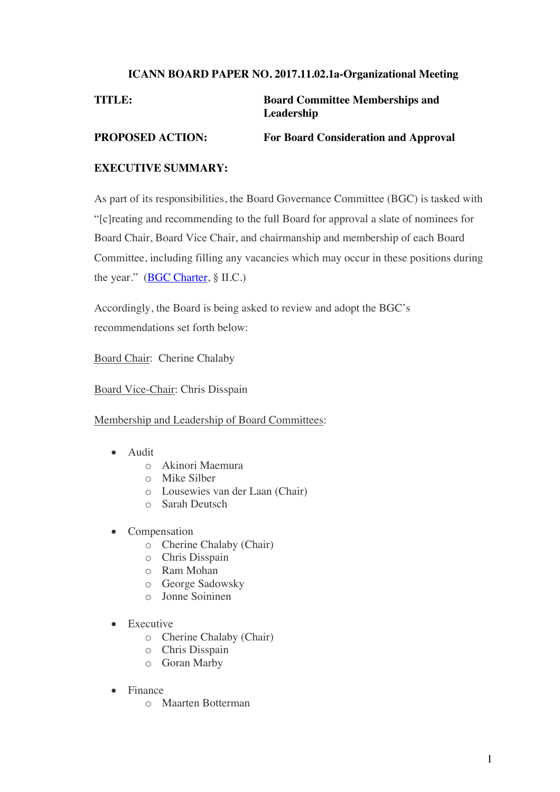## **ICANN BOARD PAPER NO. 2017.11.02.1a-Organizational Meeting**

# **TITLE: Board Committee Memberships and Leadership**

**PROPOSED ACTION: For Board Consideration and Approval**

# **EXECUTIVE SUMMARY:**

As part of its responsibilities, the Board Governance Committee (BGC) is tasked with "[c]reating and recommending to the full Board for approval a slate of nominees for Board Chair, Board Vice Chair, and chairmanship and membership of each Board Committee, including filling any vacancies which may occur in these positions during the year." (BGC Charter, § II.C.)

Accordingly, the Board is being asked to review and adopt the BGC's recommendations set forth below:

Board Chair: Cherine Chalaby

Board Vice-Chair: Chris Disspain

Membership and Leadership of Board Committees:

- Audit
	- o Akinori Maemura
	- o Mike Silber
	- o Lousewies van der Laan (Chair)
	- o Sarah Deutsch
- **Compensation** 
	- o Cherine Chalaby (Chair)
	- o Chris Disspain
	- o Ram Mohan
	- o George Sadowsky
	- o Jonne Soininen
- **Executive** 
	- o Cherine Chalaby (Chair)
	- o Chris Disspain
	- o Goran Marby
- Finance
	- o Maarten Botterman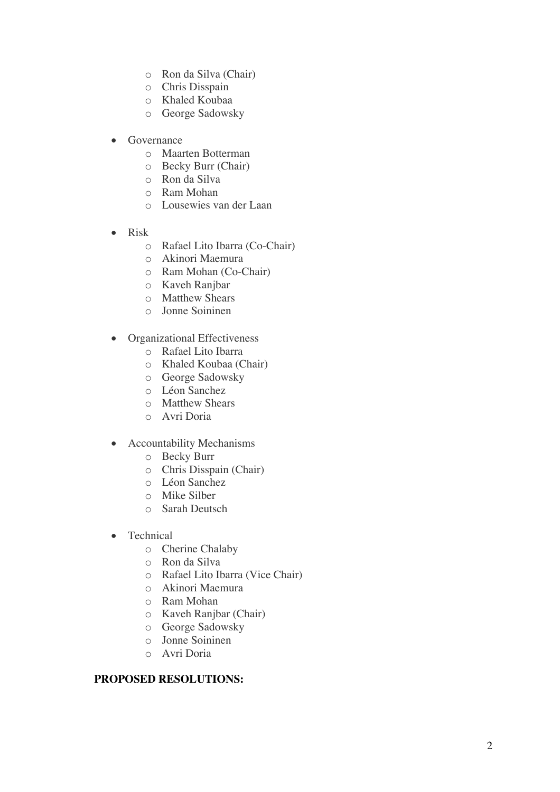- o Ron da Silva (Chair)
- o Chris Disspain
- o Khaled Koubaa
- o George Sadowsky
- **Governance** 
	- o Maarten Botterman
	- o Becky Burr (Chair)
	- o Ron da Silva
	- o Ram Mohan
	- o Lousewies van der Laan
- Risk
	- o Rafael Lito Ibarra (Co-Chair)
	- o Akinori Maemura
	- o Ram Mohan (Co-Chair)
	- o Kaveh Ranjbar
	- o Matthew Shears
	- o Jonne Soininen
- Organizational Effectiveness
	- o Rafael Lito Ibarra
	- o Khaled Koubaa (Chair)
	- o George Sadowsky
	- o Léon Sanchez
	- o Matthew Shears
	- o Avri Doria
- Accountability Mechanisms
	- o Becky Burr
	- o Chris Disspain (Chair)
	- o Léon Sanchez
	- o Mike Silber
	- o Sarah Deutsch
- Technical
	- o Cherine Chalaby
	- o Ron da Silva
	- o Rafael Lito Ibarra (Vice Chair)
	- o Akinori Maemura
	- o Ram Mohan
	- o Kaveh Ranjbar (Chair)
	- o George Sadowsky
	- o Jonne Soininen
	- o Avri Doria

# **PROPOSED RESOLUTION S :**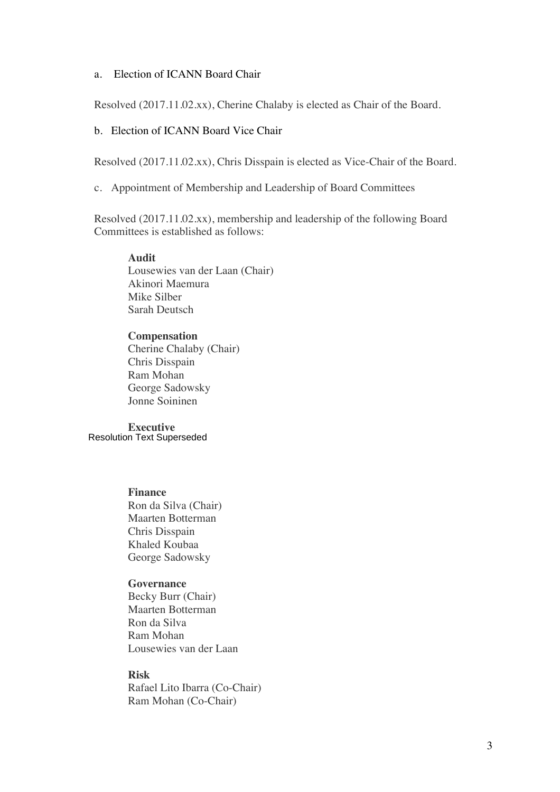## a. Election of ICANN Board Chair

Resolved (2017.11.02.xx), Cherine Chalaby is elected as Chair of the Board.

## b. Election of ICANN Board Vice Chair

Resolved (2017.11.02.xx), Chris Disspain is elected as Vice-Chair of the Board.

c. Appointment of Membership and Leadership of Board Committees

Resolved (2017.11.02.xx), membership and leadership of the following Board Committees is established as follows:

#### **Audit**

Lousewies van der Laan (Chair) Akinori Maemura Mike Silber Sarah Deutsch

#### **Compensation**

Cherine Chalaby (Chair) Chris Disspain Ram Mohan George Sadowsky Jonne Soininen

**Executive**  Resolution Text Superseded

### **Finance**

Ron da Silva (Chair) Maarten Botterman Chris Disspain Khaled Koubaa George Sadowsky

### **Governance**

Becky Burr (Chair) Maarten Botterman Ron da Silva Ram Mohan Lousewies van der Laan

## **Risk**

Rafael Lito Ibarra (Co-Chair) Ram Mohan (Co-Chair)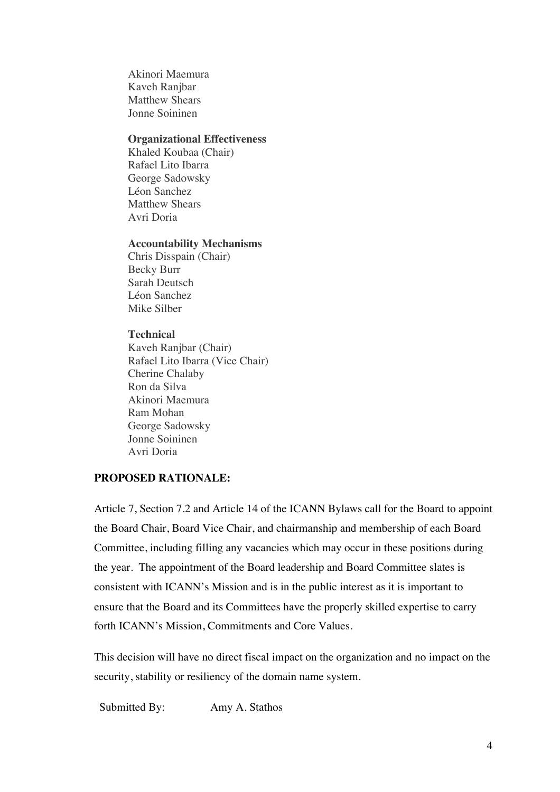Akinori Maemura Kaveh Ranjbar Matthew Shears Jonne Soininen

#### **Organizational Effectiveness**

Khaled Koubaa (Chair) Rafael Lito Ibarra George Sadowsky Léon Sanchez Matthew Shears Avri Doria

#### **Accountability Mechanisms**

Chris Disspain (Chair) Becky Burr Sarah Deutsch Léon Sanchez Mike Silber

### **Technical**

Kaveh Ranjbar (Chair) Rafael Lito Ibarra (Vice Chair) Cherine Chalaby Ron da Silva Akinori Maemura Ram Mohan George Sadowsky Jonne Soininen Avri Doria

# **PROPOSED RATIONALE:**

Article 7, Section 7.2 and Article 14 of the ICANN Bylaws call for the Board to appoint the Board Chair, Board Vice Chair, and chairmanship and membership of each Board Committee, including filling any vacancies which may occur in these positions during the year. The appointment of the Board leadership and Board Committee slates is consistent with ICANN's Mission and is in the public interest as it is important to ensure that the Board and its Committees have the properly skilled expertise to carry forth ICANN's Mission, Commitments and Core Values.

This decision will have no direct fiscal impact on the organization and no impact on the security, stability or resiliency of the domain name system.

Submitted By: Amy A. Stathos